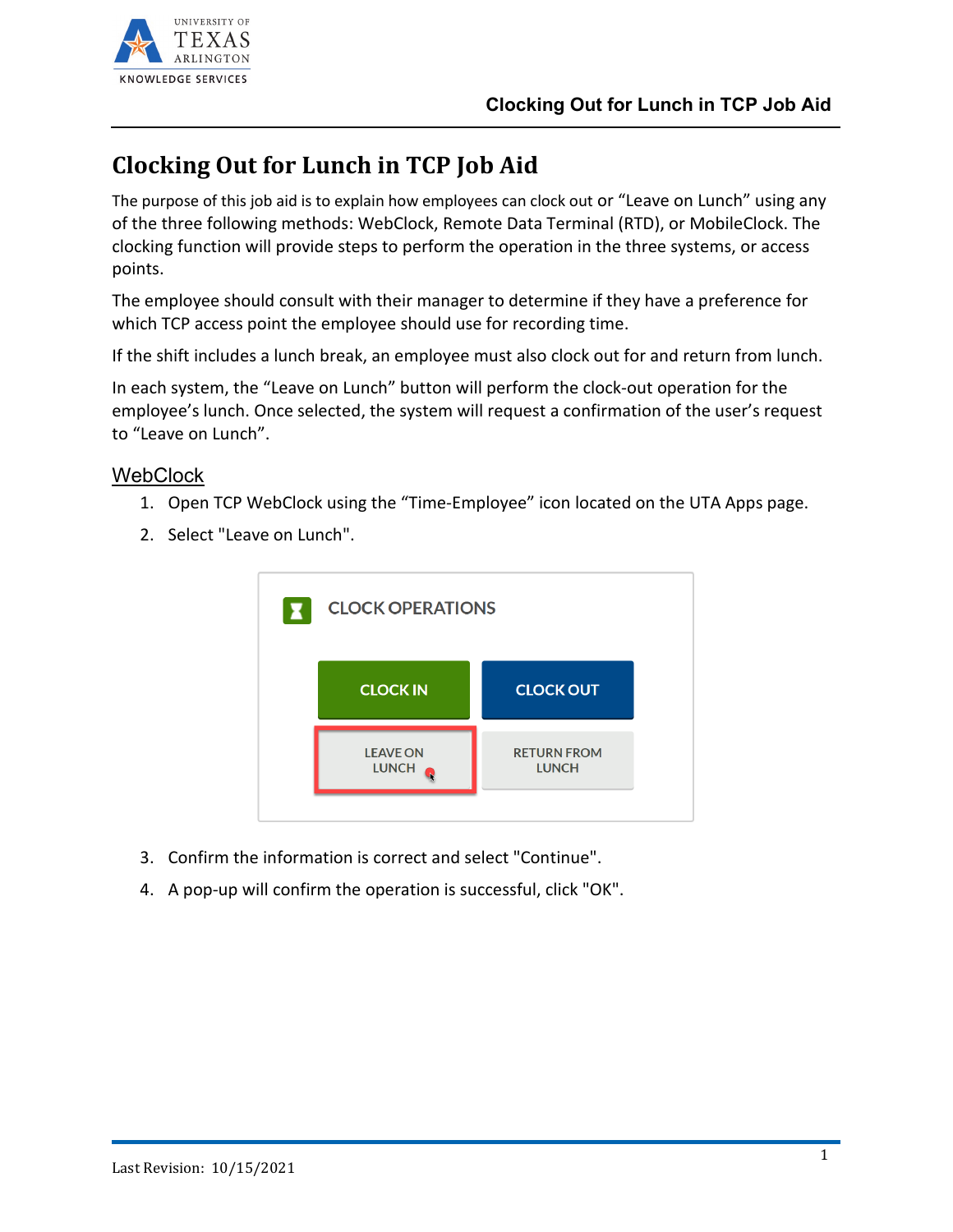

## **Clocking Out for Lunch in TCP Job Aid**

The purpose of this job aid is to explain how employees can clock out or "Leave on Lunch" using any of the three following methods: WebClock, Remote Data Terminal (RTD), or MobileClock. The clocking function will provide steps to perform the operation in the three systems, or access points.

The employee should consult with their manager to determine if they have a preference for which TCP access point the employee should use for recording time.

If the shift includes a lunch break, an employee must also clock out for and return from lunch.

In each system, the "Leave on Lunch" button will perform the clock-out operation for the employee's lunch. Once selected, the system will request a confirmation of the user's request to "Leave on Lunch".

## **WebClock**

- 1. Open TCP WebClock using the "Time-Employee" icon located on the UTA Apps page.
	- **CLOCK OPERATIONS CLOCK OUT CLOCK IN LEAVE ON RETURN FROM** LUNCH O **LUNCH**
- 2. Select "Leave on Lunch".

- 3. Confirm the information is correct and select "Continue".
- 4. A pop-up will confirm the operation is successful, click "OK".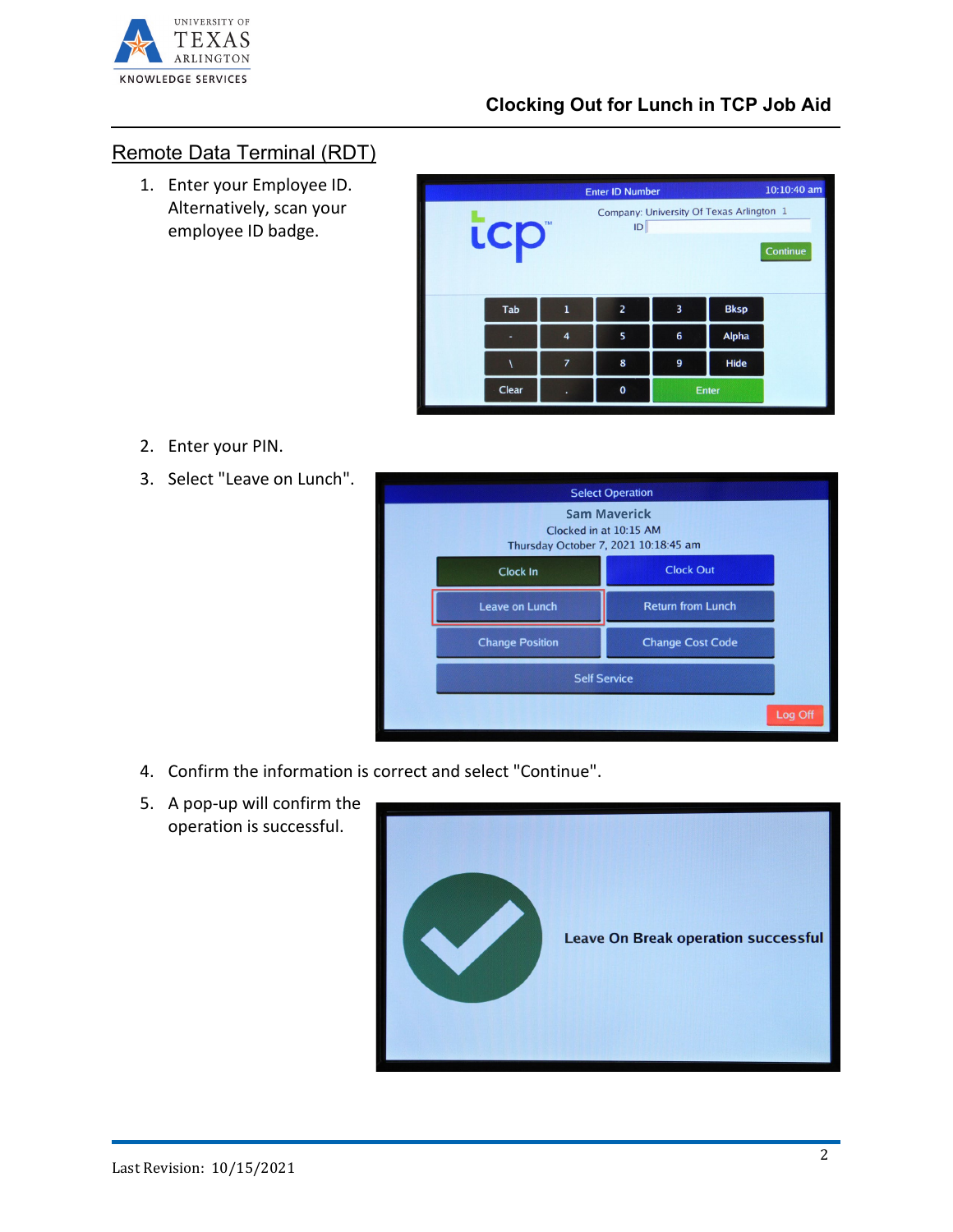

## Remote Data Terminal (RDT)

1. Enter your Employee ID. Alternatively, scan your employee ID badge.

| <b>Enter ID Number</b>                                                         |       |                |                |       |              | 10:10:40 am |  |  |
|--------------------------------------------------------------------------------|-------|----------------|----------------|-------|--------------|-------------|--|--|
| Company: University Of Texas Arlington 1<br>TM<br><b>icp</b><br>ID<br>Continue |       |                |                |       |              |             |  |  |
|                                                                                | Tab   | $\mathbf{1}$   | $\overline{2}$ | 3     | <b>Bksp</b>  |             |  |  |
|                                                                                |       | 4              | 5              | 6     | <b>Alpha</b> |             |  |  |
|                                                                                |       | $\overline{z}$ | 8              | 9     | <b>Hide</b>  |             |  |  |
|                                                                                | Clear |                | $\mathbf 0$    | Enter |              |             |  |  |

- 2. Enter your PIN.
- 3. Select "Leave on Lunch".



- 4. Confirm the information is correct and select "Continue".
- 5. A pop-up will confirm the operation is successful.